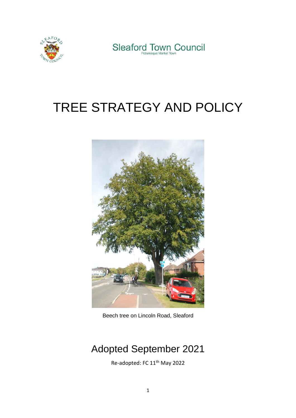



# TREE STRATEGY AND POLICY



Beech tree on Lincoln Road, Sleaford

## Adopted September 2021

Re-adopted: FC 11th May 2022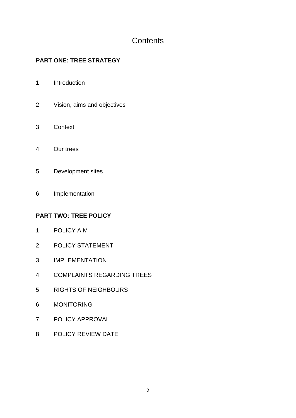### **Contents**

#### **PART ONE: TREE STRATEGY**

- Introduction
- Vision, aims and objectives
- Context
- Our trees
- Development sites
- Implementation

#### **PART TWO: TREE POLICY**

- POLICY AIM
- POLICY STATEMENT
- IMPLEMENTATION
- COMPLAINTS REGARDING TREES
- RIGHTS OF NEIGHBOURS
- MONITORING
- POLICY APPROVAL
- POLICY REVIEW DATE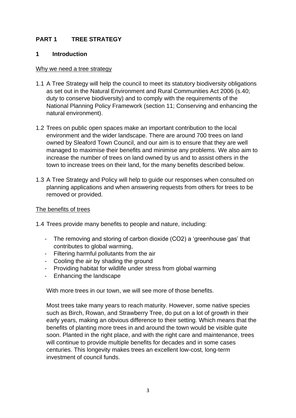#### **PART 1 TREE STRATEGY**

#### **1 Introduction**

#### Why we need a tree strategy

- 1.1 A Tree Strategy will help the council to meet its statutory biodiversity obligations as set out in the Natural Environment and Rural Communities Act 2006 (s.40; duty to conserve biodiversity) and to comply with the requirements of the National Planning Policy Framework (section 11; Conserving and enhancing the natural environment).
- 1.2 Trees on public open spaces make an important contribution to the local environment and the wider landscape. There are around 700 trees on land owned by Sleaford Town Council, and our aim is to ensure that they are well managed to maximise their benefits and minimise any problems. We also aim to increase the number of trees on land owned by us and to assist others in the town to increase trees on their land, for the many benefits described below.
- 1.3 A Tree Strategy and Policy will help to guide our responses when consulted on planning applications and when answering requests from others for trees to be removed or provided.

#### The benefits of trees

1.4 Trees provide many benefits to people and nature, including:

- The removing and storing of carbon dioxide (CO2) a 'greenhouse gas' that contributes to global warming,
- Filtering harmful pollutants from the air
- Cooling the air by shading the ground
- Providing habitat for wildlife under stress from global warming
- Enhancing the landscape

With more trees in our town, we will see more of those benefits.

Most trees take many years to reach maturity. However, some native species such as Birch, Rowan, and Strawberry Tree, do put on a lot of growth in their early years, making an obvious difference to their setting. Which means that the benefits of planting more trees in and around the town would be visible quite soon. Planted in the right place, and with the right care and maintenance, trees will continue to provide multiple benefits for decades and in some cases centuries. This longevity makes trees an excellent low-cost, long-term investment of council funds.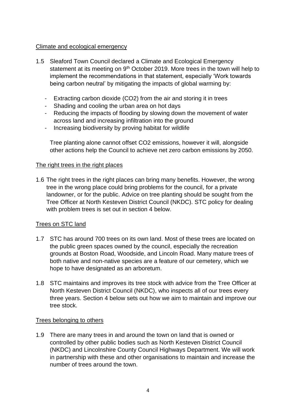#### Climate and ecological emergency

- 1.5 Sleaford Town Council declared a Climate and Ecological Emergency statement at its meeting on 9<sup>th</sup> October 2019. More trees in the town will help to implement the recommendations in that statement, especially 'Work towards being carbon neutral' by mitigating the impacts of global warming by:
	- Extracting carbon dioxide (CO2) from the air and storing it in trees
	- Shading and cooling the urban area on hot days
	- Reducing the impacts of flooding by slowing down the movement of water across land and increasing infiltration into the ground
	- Increasing biodiversity by proving habitat for wildlife

Tree planting alone cannot offset CO2 emissions, however it will, alongside other actions help the Council to achieve net zero carbon emissions by 2050.

#### The right trees in the right places

1.6 The right trees in the right places can bring many benefits. However, the wrong tree in the wrong place could bring problems for the council, for a private landowner, or for the public. Advice on tree planting should be sought from the Tree Officer at North Kesteven District Council (NKDC). STC policy for dealing with problem trees is set out in section 4 below.

#### Trees on STC land

- 1.7 STC has around 700 trees on its own land. Most of these trees are located on the public green spaces owned by the council, especially the recreation grounds at Boston Road, Woodside, and Lincoln Road. Many mature trees of both native and non-native species are a feature of our cemetery, which we hope to have designated as an arboretum.
- 1.8 STC maintains and improves its tree stock with advice from the Tree Officer at North Kesteven District Council (NKDC), who inspects all of our trees every three years. Section 4 below sets out how we aim to maintain and improve our tree stock.

#### Trees belonging to others

1.9 There are many trees in and around the town on land that is owned or controlled by other public bodies such as North Kesteven District Council (NKDC) and Lincolnshire County Council Highways Department. We will work in partnership with these and other organisations to maintain and increase the number of trees around the town.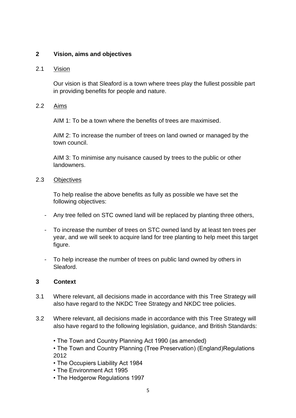#### **2 Vision, aims and objectives**

#### 2.1 Vision

Our vision is that Sleaford is a town where trees play the fullest possible part in providing benefits for people and nature.

#### 2.2 Aims

AIM 1: To be a town where the benefits of trees are maximised.

AIM 2: To increase the number of trees on land owned or managed by the town council.

AIM 3: To minimise any nuisance caused by trees to the public or other landowners.

#### 2.3 Objectives

To help realise the above benefits as fully as possible we have set the following objectives:

- Any tree felled on STC owned land will be replaced by planting three others,
- To increase the number of trees on STC owned land by at least ten trees per year, and we will seek to acquire land for tree planting to help meet this target figure.
- To help increase the number of trees on public land owned by others in Sleaford.

#### **3 Context**

- 3.1 Where relevant, all decisions made in accordance with this Tree Strategy will also have regard to the NKDC Tree Strategy and NKDC tree policies.
- 3.2 Where relevant, all decisions made in accordance with this Tree Strategy will also have regard to the following legislation, guidance, and British Standards:
	- The Town and Country Planning Act 1990 (as amended)
	- The Town and Country Planning (Tree Preservation) (England)Regulations 2012
	- The Occupiers Liability Act 1984
	- The Environment Act 1995
	- The Hedgerow Regulations 1997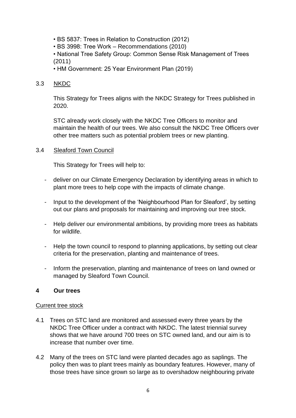- BS 5837: Trees in Relation to Construction (2012)
- BS 3998: Tree Work Recommendations (2010)

• National Tree Safety Group: Common Sense Risk Management of Trees (2011)

• HM Government: 25 Year Environment Plan (2019)

#### 3.3 NKDC

This Strategy for Trees aligns with the NKDC Strategy for Trees published in 2020.

STC already work closely with the NKDC Tree Officers to monitor and maintain the health of our trees. We also consult the NKDC Tree Officers over other tree matters such as potential problem trees or new planting.

#### 3.4 Sleaford Town Council

This Strategy for Trees will help to:

- deliver on our Climate Emergency Declaration by identifying areas in which to plant more trees to help cope with the impacts of climate change.
- Input to the development of the 'Neighbourhood Plan for Sleaford', by setting out our plans and proposals for maintaining and improving our tree stock.
- Help deliver our environmental ambitions, by providing more trees as habitats for wildlife.
- Help the town council to respond to planning applications, by setting out clear criteria for the preservation, planting and maintenance of trees.
- Inform the preservation, planting and maintenance of trees on land owned or managed by Sleaford Town Council.

#### **4 Our trees**

#### Current tree stock

- 4.1 Trees on STC land are monitored and assessed every three years by the NKDC Tree Officer under a contract with NKDC. The latest triennial survey shows that we have around 700 trees on STC owned land, and our aim is to increase that number over time.
- 4.2 Many of the trees on STC land were planted decades ago as saplings. The policy then was to plant trees mainly as boundary features. However, many of those trees have since grown so large as to overshadow neighbouring private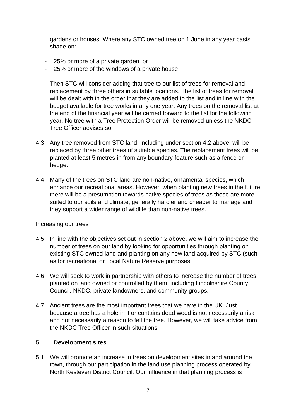gardens or houses. Where any STC owned tree on 1 June in any year casts shade on:

- 25% or more of a private garden, or
- 25% or more of the windows of a private house

Then STC will consider adding that tree to our list of trees for removal and replacement by three others in suitable locations. The list of trees for removal will be dealt with in the order that they are added to the list and in line with the budget available for tree works in any one year. Any trees on the removal list at the end of the financial year will be carried forward to the list for the following year. No tree with a Tree Protection Order will be removed unless the NKDC Tree Officer advises so.

- 4.3 Any tree removed from STC land, including under section 4,2 above, will be replaced by three other trees of suitable species. The replacement trees will be planted at least 5 metres in from any boundary feature such as a fence or hedge.
- 4.4 Many of the trees on STC land are non-native, ornamental species, which enhance our recreational areas. However, when planting new trees in the future there will be a presumption towards native species of trees as these are more suited to our soils and climate, generally hardier and cheaper to manage and they support a wider range of wildlife than non-native trees.

#### Increasing our trees

- 4.5 In line with the objectives set out in section 2 above, we will aim to increase the number of trees on our land by looking for opportunities through planting on existing STC owned land and planting on any new land acquired by STC (such as for recreational or Local Nature Reserve purposes.
- 4.6 We will seek to work in partnership with others to increase the number of trees planted on land owned or controlled by them, including Lincolnshire County Council, NKDC, private landowners, and community groups.
- 4.7 Ancient trees are the most important trees that we have in the UK. Just because a tree has a hole in it or contains dead wood is not necessarily a risk and not necessarily a reason to fell the tree. However, we will take advice from the NKDC Tree Officer in such situations.

#### **5 Development sites**

5.1 We will promote an increase in trees on development sites in and around the town, through our participation in the land use planning process operated by North Kesteven District Council. Our influence in that planning process is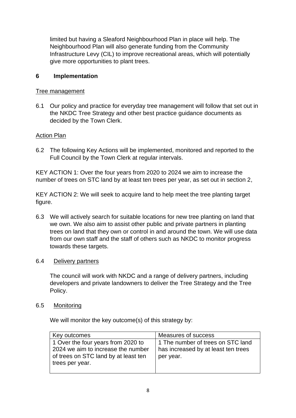limited but having a Sleaford Neighbourhood Plan in place will help. The Neighbourhood Plan will also generate funding from the Community Infrastructure Levy (CIL) to improve recreational areas, which will potentially give more opportunities to plant trees.

#### **6 Implementation**

#### Tree management

6.1 Our policy and practice for everyday tree management will follow that set out in the NKDC Tree Strategy and other best practice guidance documents as decided by the Town Clerk.

#### Action Plan

6.2 The following Key Actions will be implemented, monitored and reported to the Full Council by the Town Clerk at regular intervals.

KEY ACTION 1: Over the four years from 2020 to 2024 we aim to increase the number of trees on STC land by at least ten trees per year, as set out in section 2,

KEY ACTION 2: We will seek to acquire land to help meet the tree planting target figure.

6.3 We will actively search for suitable locations for new tree planting on land that we own. We also aim to assist other public and private partners in planting trees on land that they own or control in and around the town. We will use data from our own staff and the staff of others such as NKDC to monitor progress towards these targets.

#### 6.4 Delivery partners

The council will work with NKDC and a range of delivery partners, including developers and private landowners to deliver the Tree Strategy and the Tree Policy.

#### 6.5 Monitoring

We will monitor the key outcome(s) of this strategy by:

| Key outcomes                                                                                  | Measures of success                              |
|-----------------------------------------------------------------------------------------------|--------------------------------------------------|
| 1 Over the four years from 2020 to                                                            | 1 The number of trees on STC land                |
| 2024 we aim to increase the number<br>of trees on STC land by at least ten<br>trees per year. | has increased by at least ten trees<br>per year. |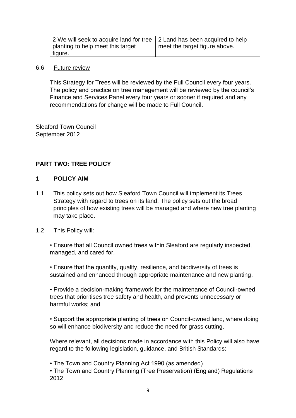| 2 We will seek to acquire land for tree   2 Land has been acquired to help |                               |
|----------------------------------------------------------------------------|-------------------------------|
| planting to help meet this target                                          | meet the target figure above. |
| figure.                                                                    |                               |

#### 6.6 Future review

This Strategy for Trees will be reviewed by the Full Council every four years. The policy and practice on tree management will be reviewed by the council's Finance and Services Panel every four years or sooner if required and any recommendations for change will be made to Full Council.

Sleaford Town Council September 2012

#### **PART TWO: TREE POLICY**

#### **1 POLICY AIM**

1.1 This policy sets out how Sleaford Town Council will implement its Trees Strategy with regard to trees on its land. The policy sets out the broad principles of how existing trees will be managed and where new tree planting may take place.

#### 1.2 This Policy will:

• Ensure that all Council owned trees within Sleaford are regularly inspected, managed, and cared for.

• Ensure that the quantity, quality, resilience, and biodiversity of trees is sustained and enhanced through appropriate maintenance and new planting.

• Provide a decision-making framework for the maintenance of Council-owned trees that prioritises tree safety and health, and prevents unnecessary or harmful works; and

• Support the appropriate planting of trees on Council-owned land, where doing so will enhance biodiversity and reduce the need for grass cutting.

Where relevant, all decisions made in accordance with this Policy will also have regard to the following legislation, guidance, and British Standards:

• The Town and Country Planning Act 1990 (as amended)

• The Town and Country Planning (Tree Preservation) (England) Regulations 2012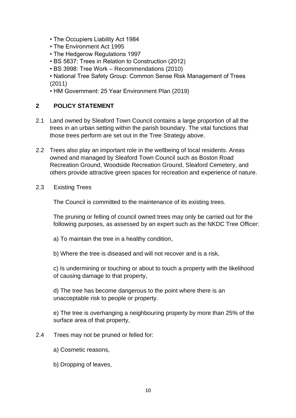- The Occupiers Liability Act 1984
- The Environment Act 1995
- The Hedgerow Regulations 1997
- BS 5837: Trees in Relation to Construction (2012)
- BS 3998: Tree Work Recommendations (2010)
- National Tree Safety Group: Common Sense Risk Management of Trees (2011)
- HM Government: 25 Year Environment Plan (2019)

#### **2 POLICY STATEMENT**

- 2.1 Land owned by Sleaford Town Council contains a large proportion of all the trees in an urban setting within the parish boundary. The vital functions that those trees perform are set out in the Tree Strategy above.
- 2.2 Trees also play an important role in the wellbeing of local residents. Areas owned and managed by Sleaford Town Council such as Boston Road Recreation Ground, Woodside Recreation Ground, Sleaford Cemetery, and others provide attractive green spaces for recreation and experience of nature.
- 2.3 Existing Trees

The Council is committed to the maintenance of its existing trees.

The pruning or felling of council owned trees may only be carried out for the following purposes, as assessed by an expert such as the NKDC Tree Officer:

- a) To maintain the tree in a healthy condition,
- b) Where the tree is diseased and will not recover and is a risk,

c) Is undermining or touching or about to touch a property with the likelihood of causing damage to that property,

d) The tree has become dangerous to the point where there is an unacceptable risk to people or property.

e) The tree is overhanging a neighbouring property by more than 25% of the surface area of that property,

- 2.4 Trees may not be pruned or felled for:
	- a) Cosmetic reasons,
	- b) Dropping of leaves,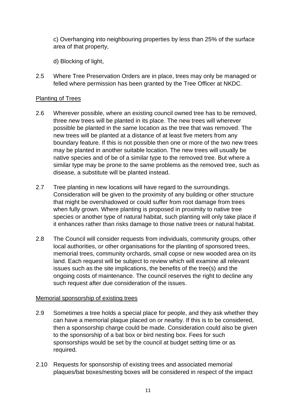c) Overhanging into neighbouring properties by less than 25% of the surface area of that property,

d) Blocking of light,

2.5 Where Tree Preservation Orders are in place, trees may only be managed or felled where permission has been granted by the Tree Officer at NKDC.

#### Planting of Trees

- 2.6 Wherever possible, where an existing council owned tree has to be removed, three new trees will be planted in its place. The new trees will wherever possible be planted in the same location as the tree that was removed. The new trees will be planted at a distance of at least five meters from any boundary feature. If this is not possible then one or more of the two new trees may be planted in another suitable location. The new trees will usually be native species and of be of a similar type to the removed tree. But where a similar type may be prone to the same problems as the removed tree, such as disease, a substitute will be planted instead.
- 2.7 Tree planting in new locations will have regard to the surroundings. Consideration will be given to the proximity of any building or other structure that might be overshadowed or could suffer from root damage from trees when fully grown. Where planting is proposed in proximity to native tree species or another type of natural habitat, such planting will only take place if it enhances rather than risks damage to those native trees or natural habitat.
- 2.8 The Council will consider requests from individuals, community groups, other local authorities, or other organisations for the planting of sponsored trees, memorial trees, community orchards, small copse or new wooded area on its land. Each request will be subject to review which will examine all relevant issues such as the site implications, the benefits of the tree(s) and the ongoing costs of maintenance. The council reserves the right to decline any such request after due consideration of the issues.

#### Memorial sponsorship of existing trees

- 2.9 Sometimes a tree holds a special place for people, and they ask whether they can have a memorial plaque placed on or nearby. If this is to be considered, then a sponsorship charge could be made. Consideration could also be given to the sponsorship of a bat box or bird nesting box. Fees for such sponsorships would be set by the council at budget setting time or as required.
- 2.10 Requests for sponsorship of existing trees and associated memorial plaques/bat boxes/nesting boxes will be considered in respect of the impact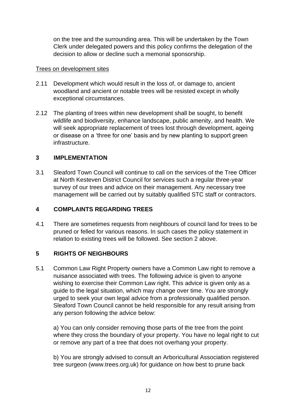on the tree and the surrounding area. This will be undertaken by the Town Clerk under delegated powers and this policy confirms the delegation of the decision to allow or decline such a memorial sponsorship.

#### Trees on development sites

- 2.11 Development which would result in the loss of, or damage to, ancient woodland and ancient or notable trees will be resisted except in wholly exceptional circumstances.
- 2.12 The planting of trees within new development shall be sought, to benefit wildlife and biodiversity, enhance landscape, public amenity, and health. We will seek appropriate replacement of trees lost through development, ageing or disease on a 'three for one' basis and by new planting to support green infrastructure.

#### **3 IMPLEMENTATION**

3.1 Sleaford Town Council will continue to call on the services of the Tree Officer at North Kesteven District Council for services such a regular three-year survey of our trees and advice on their management. Any necessary tree management will be carried out by suitably qualified STC staff or contractors.

#### **4 COMPLAINTS REGARDING TREES**

4.1 There are sometimes requests from neighbours of council land for trees to be pruned or felled for various reasons. In such cases the policy statement in relation to existing trees will be followed. See section 2 above.

#### **5 RIGHTS OF NEIGHBOURS**

5.1 Common Law Right Property owners have a Common Law right to remove a nuisance associated with trees. The following advice is given to anyone wishing to exercise their Common Law right. This advice is given only as a guide to the legal situation, which may change over time. You are strongly urged to seek your own legal advice from a professionally qualified person. Sleaford Town Council cannot be held responsible for any result arising from any person following the advice below:

a) You can only consider removing those parts of the tree from the point where they cross the boundary of your property. You have no legal right to cut or remove any part of a tree that does not overhang your property.

b) You are strongly advised to consult an Arboricultural Association registered tree surgeon (www.trees.org.uk) for guidance on how best to prune back